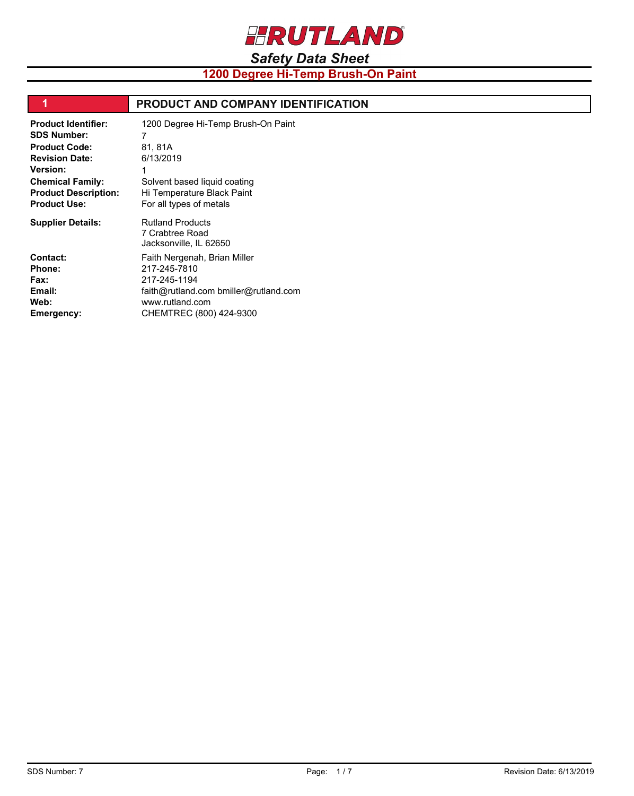

**1200 Degree Hi-Temp Brush-On Paint**

| 1                                                                                                                                                                                                     | <b>PRODUCT AND COMPANY IDENTIFICATION</b>                                                                                                           |
|-------------------------------------------------------------------------------------------------------------------------------------------------------------------------------------------------------|-----------------------------------------------------------------------------------------------------------------------------------------------------|
| <b>Product Identifier:</b><br><b>SDS Number:</b><br><b>Product Code:</b><br><b>Revision Date:</b><br><b>Version:</b><br><b>Chemical Family:</b><br><b>Product Description:</b><br><b>Product Use:</b> | 1200 Degree Hi-Temp Brush-On Paint<br>81, 81A<br>6/13/2019<br>Solvent based liquid coating<br>Hi Temperature Black Paint<br>For all types of metals |
| <b>Supplier Details:</b>                                                                                                                                                                              | <b>Rutland Products</b><br>7 Crabtree Road<br>Jacksonville, IL 62650                                                                                |
| <b>Contact:</b><br><b>Phone:</b><br><b>Fax:</b><br>Email:<br>Web:<br>Emergency:                                                                                                                       | Faith Nergenah, Brian Miller<br>217-245-7810<br>217-245-1194<br>faith@rutland.com bmiller@rutland.com<br>www.rutland.com<br>CHEMTREC (800) 424-9300 |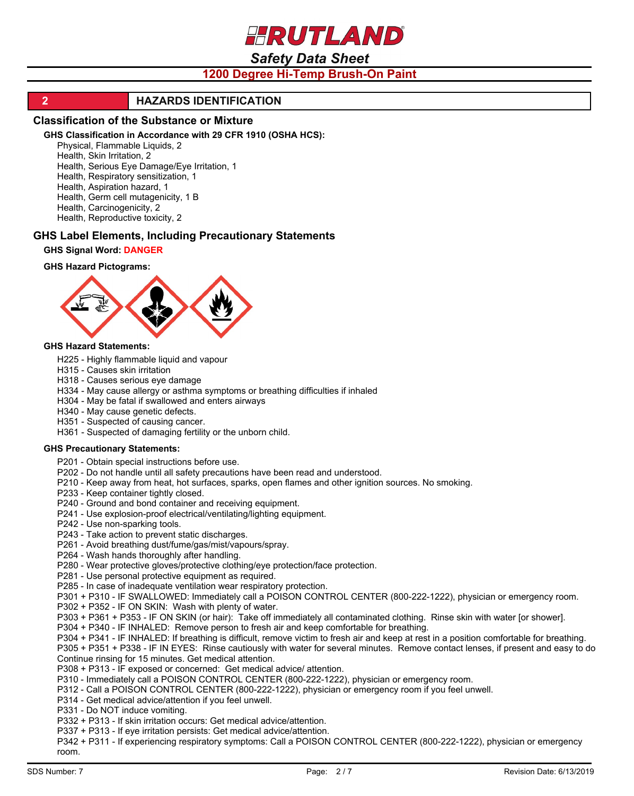HRUTLAND

# *Safety Data Sheet*

# **1200 Degree Hi-Temp Brush-On Paint**

## **2 HAZARDS IDENTIFICATION**

#### **Classification of the Substance or Mixture**

#### **GHS Classification in Accordance with 29 CFR 1910 (OSHA HCS):**

Physical, Flammable Liquids, 2

Health, Skin Irritation, 2

Health, Serious Eye Damage/Eye Irritation, 1

Health, Respiratory sensitization, 1

Health, Aspiration hazard, 1

Health, Germ cell mutagenicity, 1 B

Health, Carcinogenicity, 2 Health, Reproductive toxicity, 2

## **GHS Label Elements, Including Precautionary Statements**

#### **GHS Signal Word: DANGER**

#### **GHS Hazard Pictograms:**



#### **GHS Hazard Statements:**

- H225 Highly flammable liquid and vapour
- H315 Causes skin irritation
- H318 Causes serious eye damage

H334 - May cause allergy or asthma symptoms or breathing difficulties if inhaled

- H304 May be fatal if swallowed and enters airways
- H340 May cause genetic defects.
- H351 Suspected of causing cancer.
- H361 Suspected of damaging fertility or the unborn child.

#### **GHS Precautionary Statements:**

- P201 Obtain special instructions before use.
- P202 Do not handle until all safety precautions have been read and understood.
- P210 Keep away from heat, hot surfaces, sparks, open flames and other ignition sources. No smoking.
- P233 Keep container tightly closed.
- P240 Ground and bond container and receiving equipment.
- P241 Use explosion-proof electrical/ventilating/lighting equipment.
- P242 Use non-sparking tools.
- P243 Take action to prevent static discharges.
- P261 Avoid breathing dust/fume/gas/mist/vapours/spray.
- P264 Wash hands thoroughly after handling.
- P280 Wear protective gloves/protective clothing/eye protection/face protection.
- P281 Use personal protective equipment as required.
- P285 In case of inadequate ventilation wear respiratory protection.
- P301 + P310 IF SWALLOWED: Immediately call a POISON CONTROL CENTER (800-222-1222), physician or emergency room.
- P302 + P352 IF ON SKIN: Wash with plenty of water.
- P303 + P361 + P353 IF ON SKIN (or hair): Take off immediately all contaminated clothing. Rinse skin with water [or shower].
- P304 + P340 IF INHALED: Remove person to fresh air and keep comfortable for breathing.
- P304 + P341 IF INHALED: If breathing is difficult, remove victim to fresh air and keep at rest in a position comfortable for breathing.
- P305 + P351 + P338 IF IN EYES: Rinse cautiously with water for several minutes. Remove contact lenses, if present and easy to do. Continue rinsing for 15 minutes. Get medical attention.
- P308 + P313 IF exposed or concerned: Get medical advice/ attention.
- P310 Immediately call a POISON CONTROL CENTER (800-222-1222), physician or emergency room.
- P312 Call a POISON CONTROL CENTER (800-222-1222), physician or emergency room if you feel unwell.
- P314 Get medical advice/attention if you feel unwell.

P331 - Do NOT induce vomiting.

- P332 + P313 If skin irritation occurs: Get medical advice/attention.
- P337 + P313 If eye irritation persists: Get medical advice/attention.
- P342 + P311 If experiencing respiratory symptoms: Call a POISON CONTROL CENTER (800-222-1222), physician or emergency room.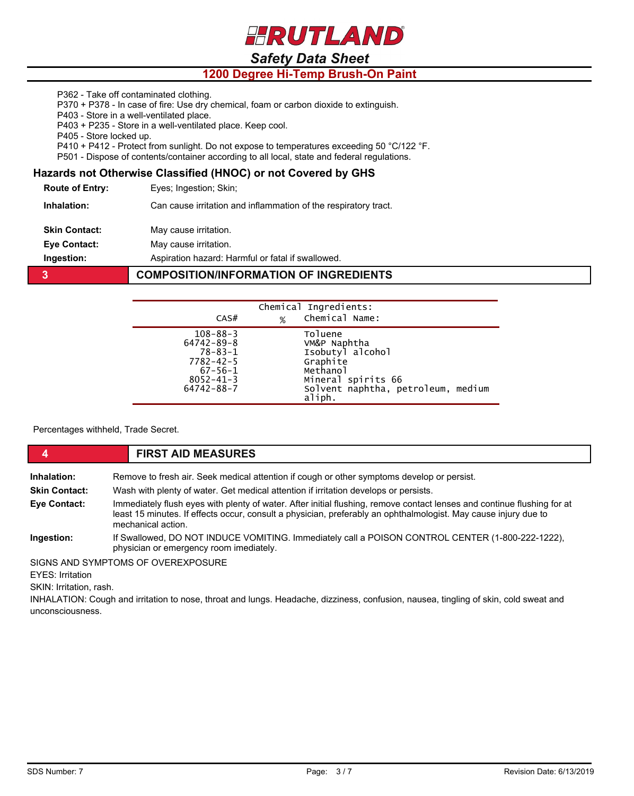

# **1200 Degree Hi-Temp Brush-On Paint**

P362 - Take off contaminated clothing.

P370 + P378 - In case of fire: Use dry chemical, foam or carbon dioxide to extinguish.

P403 - Store in a well-ventilated place.

P403 + P235 - Store in a well-ventilated place. Keep cool.

P405 - Store locked up.

P410 + P412 - Protect from sunlight. Do not expose to temperatures exceeding 50 °C/122 °F.

P501 - Dispose of contents/container according to all local, state and federal regulations.

## **Hazards not Otherwise Classified (HNOC) or not Covered by GHS**

**Route of Entry:** Eyes; Ingestion; Skin;

**Inhalation:** Can cause irritation and inflammation of the respiratory tract.

**Skin Contact:** May cause irritation.

**Eye Contact:** May cause irritation.

**Ingestion:** Aspiration hazard: Harmful or fatal if swallowed.

#### **3 COMPOSITION/INFORMATION OF INGREDIENTS**

| CAS#                                                                                                                           | % | Chemical Ingredients:<br>Chemical Name:                                                                                                   |
|--------------------------------------------------------------------------------------------------------------------------------|---|-------------------------------------------------------------------------------------------------------------------------------------------|
| $108 - 88 - 3$<br>$64742 - 89 - 8$<br>$78 - 83 - 1$<br>$7782 - 42 - 5$<br>$67 - 56 - 1$<br>$8052 - 41 - 3$<br>$64742 - 88 - 7$ |   | Toluene<br>VM&P Naphtha<br>Isobutyl alcohol<br>Graphite<br>Methanol<br>Mineral spirits 66<br>Solvent naphtha, petroleum, medium<br>aliph. |

Percentages withheld, Trade Secret.

# **4 FIRST AID MEASURES**

**Inhalation:** Remove to fresh air. Seek medical attention if cough or other symptoms develop or persist.

**Skin Contact:** Wash with plenty of water. Get medical attention if irritation develops or persists.

**Eye Contact:** Immediately flush eyes with plenty of water. After initial flushing, remove contact lenses and continue flushing for at least 15 minutes. If effects occur, consult a physician, preferably an ophthalmologist. May cause injury due to mechanical action.

**Ingestion:** If Swallowed, DO NOT INDUCE VOMITING. Immediately call a POISON CONTROL CENTER (1-800-222-1222), physician or emergency room imediately.

SIGNS AND SYMPTOMS OF OVEREXPOSURE

**EYES: Irritation** 

SKIN: Irritation, rash.

INHALATION: Cough and irritation to nose, throat and lungs. Headache, dizziness, confusion, nausea, tingling of skin, cold sweat and unconsciousness.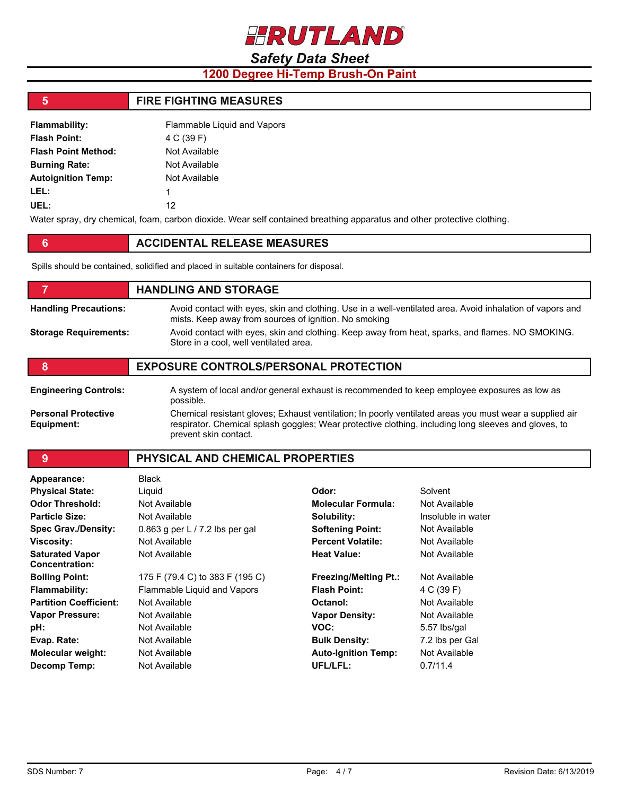

# **1200 Degree Hi-Temp Brush-On Paint**

# **5 FIRE FIGHTING MEASURES**

| <b>Flammability:</b>       | Flammable Liquid and Vapors |
|----------------------------|-----------------------------|
| <b>Flash Point:</b>        | 4 C (39 F)                  |
| <b>Flash Point Method:</b> | Not Available               |
| <b>Burning Rate:</b>       | Not Available               |
| <b>Autoignition Temp:</b>  | Not Available               |
| LEL:                       | 1                           |
| UEL:                       | 12                          |
|                            |                             |

Water spray, dry chemical, foam, carbon dioxide. Wear self contained breathing apparatus and other protective clothing.

## **6 ACCIDENTAL RELEASE MEASURES**

Spills should be contained, solidified and placed in suitable containers for disposal.

# **FIGURE 12 IN STORAGE Handling Precautions:** Avoid contact with eyes, skin and clothing. Use in a well-ventilated area. Avoid inhalation of vapors and mists. Keep away from sources of ignition. No smoking **Storage Requirements:** Avoid contact with eyes, skin and clothing. Keep away from heat, sparks, and flames. NO SMOKING. Store in a cool, well ventilated area. **8 EXPOSURE CONTROLS/PERSONAL PROTECTION Engineering Controls:** A system of local and/or general exhaust is recommended to keep employee exposures as low as possible. **Personal Protective Equipment:** Chemical resistant gloves; Exhaust ventilation; In poorly ventilated areas you must wear a supplied air respirator. Chemical splash goggles; Wear protective clothing, including long sleeves and gloves, to prevent skin contact.

**9 PHYSICAL AND CHEMICAL PROPERTIES**

| Appearance:                                     | <b>Black</b>                      |                              |                    |
|-------------------------------------------------|-----------------------------------|------------------------------|--------------------|
| <b>Physical State:</b>                          | Liquid                            | Odor:                        | Solvent            |
| <b>Odor Threshold:</b>                          | Not Available                     | <b>Molecular Formula:</b>    | Not Available      |
| <b>Particle Size:</b>                           | Not Available                     | Solubility:                  | Insoluble in water |
| <b>Spec Grav./Density:</b>                      | 0.863 g per L $/$ 7.2 lbs per gal | <b>Softening Point:</b>      | Not Available      |
| <b>Viscosity:</b>                               | Not Available                     | <b>Percent Volatile:</b>     | Not Available      |
| <b>Saturated Vapor</b><br><b>Concentration:</b> | Not Available                     | <b>Heat Value:</b>           | Not Available      |
| <b>Boiling Point:</b>                           | 175 F (79.4 C) to 383 F (195 C)   | <b>Freezing/Melting Pt.:</b> | Not Available      |
| Flammability:                                   | Flammable Liquid and Vapors       | <b>Flash Point:</b>          | 4 C (39 F)         |
| <b>Partition Coefficient:</b>                   | Not Available                     | Octanol:                     | Not Available      |
| <b>Vapor Pressure:</b>                          | Not Available                     | <b>Vapor Density:</b>        | Not Available      |
| pH:                                             | Not Available                     | VOC:                         | 5.57 lbs/gal       |
| Evap. Rate:                                     | Not Available                     | <b>Bulk Density:</b>         | 7.2 lbs per Gal    |
| <b>Molecular weight:</b>                        | Not Available                     | <b>Auto-Ignition Temp:</b>   | Not Available      |
| Decomp Temp:                                    | Not Available                     | UFL/LFL:                     | 0.7/11.4           |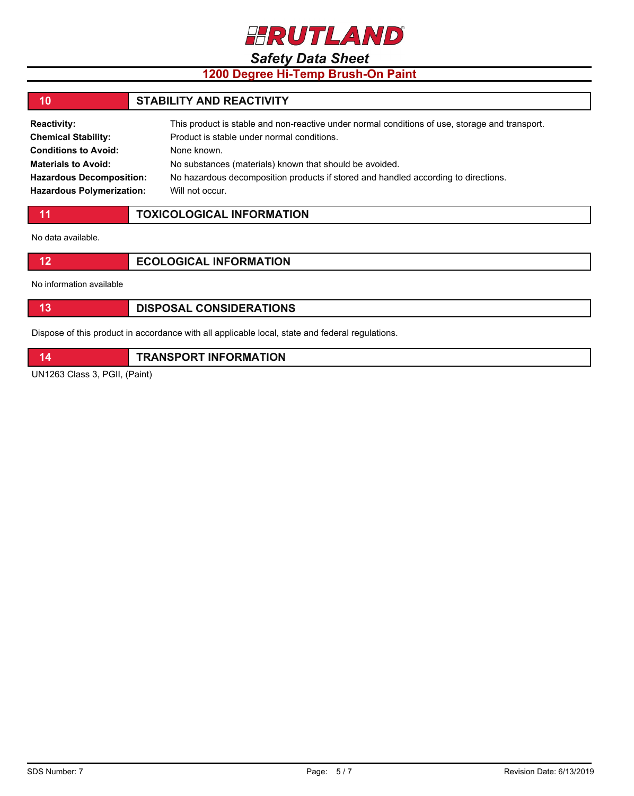

# **1200 Degree Hi-Temp Brush-On Paint**

#### **10 STABILITY AND REACTIVITY Reactivity:** This product is stable and non-reactive under normal conditions of use, storage and transport. **Chemical Stability: Conditions to Avoid:** Product is stable under normal conditions. None known.

No substances (materials) known that should be avoided. No hazardous decomposition products if stored and handled according to directions. Will not occur.

| <b>TOXICOLOGICAL INFORMATION</b> |
|----------------------------------|
|----------------------------------|

No data available.

**Materials to Avoid:**

**Hazardous Decomposition: Hazardous Polymerization:**

| <b>ECOLOGICAL INFORMATION</b> |
|-------------------------------|
|-------------------------------|

No information available

|  | <b>DISPOSAL CONSIDERATIONS</b> |
|--|--------------------------------|
|--|--------------------------------|

Dispose of this product in accordance with all applicable local, state and federal regulations.

| <b>TRANSPORT INFORMATION</b> |
|------------------------------|
|                              |

UN1263 Class 3, PGII, (Paint)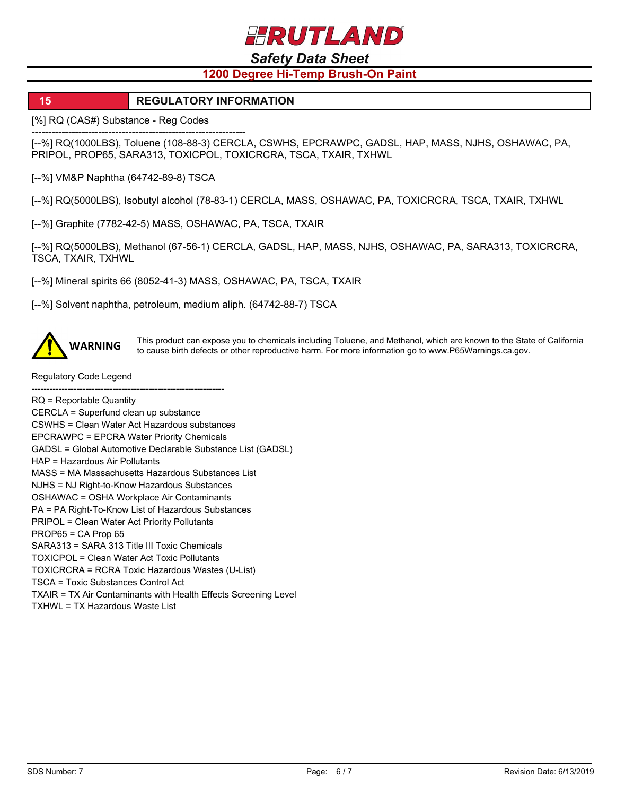HRUTLAND

# *Safety Data Sheet*

# **1200 Degree Hi-Temp Brush-On Paint**

## **15 REGULATORY INFORMATION**

[%] RQ (CAS#) Substance - Reg Codes

---------------------------------------------------------------- [--%] RQ(1000LBS), Toluene (108-88-3) CERCLA, CSWHS, EPCRAWPC, GADSL, HAP, MASS, NJHS, OSHAWAC, PA, PRIPOL, PROP65, SARA313, TOXICPOL, TOXICRCRA, TSCA, TXAIR, TXHWL

[--%] VM&P Naphtha (64742-89-8) TSCA

[--%] RQ(5000LBS), Isobutyl alcohol (78-83-1) CERCLA, MASS, OSHAWAC, PA, TOXICRCRA, TSCA, TXAIR, TXHWL

[--%] Graphite (7782-42-5) MASS, OSHAWAC, PA, TSCA, TXAIR

[--%] RQ(5000LBS), Methanol (67-56-1) CERCLA, GADSL, HAP, MASS, NJHS, OSHAWAC, PA, SARA313, TOXICRCRA, TSCA, TXAIR, TXHWL

[--%] Mineral spirits 66 (8052-41-3) MASS, OSHAWAC, PA, TSCA, TXAIR

[--%] Solvent naphtha, petroleum, medium aliph. (64742-88-7) TSCA



This product can expose you to chemicals including Toluene, and Methanol, which are known to the State of California<br>WARNING to gauge high defects as other reproductive harm. For more information as to use PGEWergings as a to cause birth defects or other reproductive harm. For more information go to www.P65Warnings.ca.gov.

Regulatory Code Legend

  $RQ$  = Reportable Quantity CERCLA = Superfund clean up substance CSWHS = Clean Water Act Hazardous substances EPCRAWPC = EPCRA Water Priority Chemicals GADSL = Global Automotive Declarable Substance List (GADSL) HAP = Hazardous Air Pollutants MASS = MA Massachusetts Hazardous Substances List NJHS = NJ Right-to-Know Hazardous Substances OSHAWAC = OSHA Workplace Air Contaminants PA = PA Right-To-Know List of Hazardous Substances PRIPOL = Clean Water Act Priority Pollutants PROP65 = CA Prop 65 SARA313 = SARA 313 Title III Toxic Chemicals TOXICPOL = Clean Water Act Toxic Pollutants TOXICRCRA = RCRA Toxic Hazardous Wastes (U-List) TSCA = Toxic Substances Control Act TXAIR = TX Air Contaminants with Health Effects Screening Level TXHWL = TX Hazardous Waste List